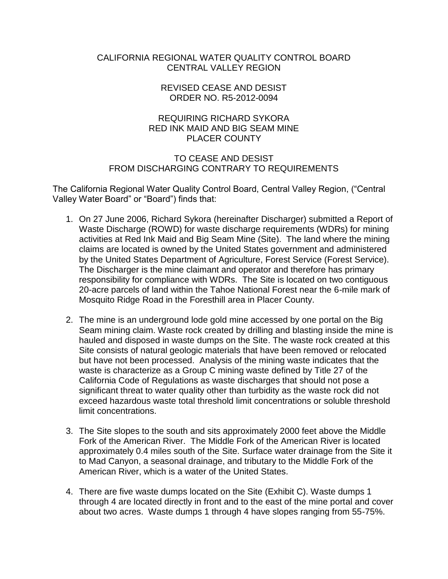### CALIFORNIA REGIONAL WATER QUALITY CONTROL BOARD CENTRAL VALLEY REGION

#### REVISED CEASE AND DESIST ORDER NO. R5-2012-0094

## REQUIRING RICHARD SYKORA RED INK MAID AND BIG SEAM MINE PLACER COUNTY

## TO CEASE AND DESIST FROM DISCHARGING CONTRARY TO REQUIREMENTS

The California Regional Water Quality Control Board, Central Valley Region, ("Central Valley Water Board" or "Board") finds that:

- 1. On 27 June 2006, Richard Sykora (hereinafter Discharger) submitted a Report of Waste Discharge (ROWD) for waste discharge requirements (WDRs) for mining activities at Red Ink Maid and Big Seam Mine (Site). The land where the mining claims are located is owned by the United States government and administered by the United States Department of Agriculture, Forest Service (Forest Service). The Discharger is the mine claimant and operator and therefore has primary responsibility for compliance with WDRs. The Site is located on two contiguous 20-acre parcels of land within the Tahoe National Forest near the 6-mile mark of Mosquito Ridge Road in the Foresthill area in Placer County.
- 2. The mine is an underground lode gold mine accessed by one portal on the Big Seam mining claim. Waste rock created by drilling and blasting inside the mine is hauled and disposed in waste dumps on the Site. The waste rock created at this Site consists of natural geologic materials that have been removed or relocated but have not been processed. Analysis of the mining waste indicates that the waste is characterize as a Group C mining waste defined by Title 27 of the California Code of Regulations as waste discharges that should not pose a significant threat to water quality other than turbidity as the waste rock did not exceed hazardous waste total threshold limit concentrations or soluble threshold limit concentrations.
- 3. The Site slopes to the south and sits approximately 2000 feet above the Middle Fork of the American River. The Middle Fork of the American River is located approximately 0.4 miles south of the Site. Surface water drainage from the Site it to Mad Canyon, a seasonal drainage, and tributary to the Middle Fork of the American River, which is a water of the United States.
- 4. There are five waste dumps located on the Site (Exhibit C). Waste dumps 1 through 4 are located directly in front and to the east of the mine portal and cover about two acres. Waste dumps 1 through 4 have slopes ranging from 55-75%.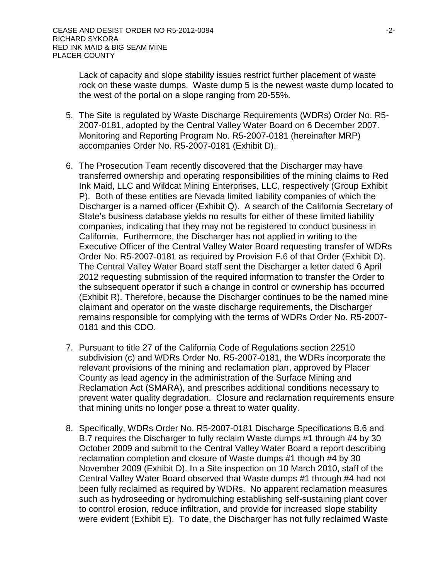Lack of capacity and slope stability issues restrict further placement of waste rock on these waste dumps. Waste dump 5 is the newest waste dump located to the west of the portal on a slope ranging from 20-55%.

- 5. The Site is regulated by Waste Discharge Requirements (WDRs) Order No. R5- 2007-0181, adopted by the Central Valley Water Board on 6 December 2007. Monitoring and Reporting Program No. R5-2007-0181 (hereinafter MRP) accompanies Order No. R5-2007-0181 (Exhibit D).
- 6. The Prosecution Team recently discovered that the Discharger may have transferred ownership and operating responsibilities of the mining claims to Red Ink Maid, LLC and Wildcat Mining Enterprises, LLC, respectively (Group Exhibit P). Both of these entities are Nevada limited liability companies of which the Discharger is a named officer (Exhibit Q). A search of the California Secretary of State's business database yields no results for either of these limited liability companies, indicating that they may not be registered to conduct business in California. Furthermore, the Discharger has not applied in writing to the Executive Officer of the Central Valley Water Board requesting transfer of WDRs Order No. R5-2007-0181 as required by Provision F.6 of that Order (Exhibit D). The Central Valley Water Board staff sent the Discharger a letter dated 6 April 2012 requesting submission of the required information to transfer the Order to the subsequent operator if such a change in control or ownership has occurred (Exhibit R). Therefore, because the Discharger continues to be the named mine claimant and operator on the waste discharge requirements, the Discharger remains responsible for complying with the terms of WDRs Order No. R5-2007- 0181 and this CDO.
- 7. Pursuant to title 27 of the California Code of Regulations section 22510 subdivision (c) and WDRs Order No. R5-2007-0181, the WDRs incorporate the relevant provisions of the mining and reclamation plan, approved by Placer County as lead agency in the administration of the Surface Mining and Reclamation Act (SMARA), and prescribes additional conditions necessary to prevent water quality degradation. Closure and reclamation requirements ensure that mining units no longer pose a threat to water quality.
- 8. Specifically, WDRs Order No. R5-2007-0181 Discharge Specifications B.6 and B.7 requires the Discharger to fully reclaim Waste dumps #1 through #4 by 30 October 2009 and submit to the Central Valley Water Board a report describing reclamation completion and closure of Waste dumps #1 though #4 by 30 November 2009 (Exhibit D). In a Site inspection on 10 March 2010, staff of the Central Valley Water Board observed that Waste dumps #1 through #4 had not been fully reclaimed as required by WDRs. No apparent reclamation measures such as hydroseeding or hydromulching establishing self-sustaining plant cover to control erosion, reduce infiltration, and provide for increased slope stability were evident (Exhibit E). To date, the Discharger has not fully reclaimed Waste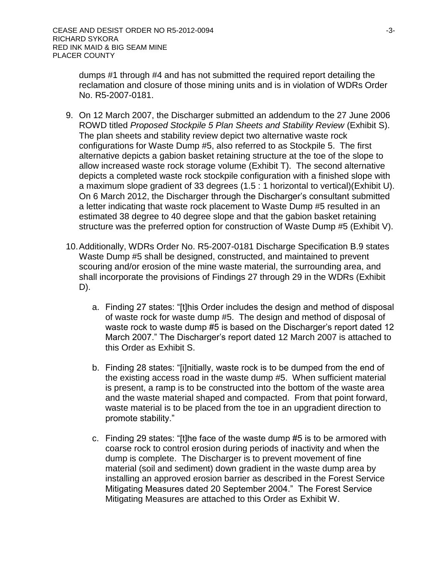dumps #1 through #4 and has not submitted the required report detailing the reclamation and closure of those mining units and is in violation of WDRs Order No. R5-2007-0181.

- 9. On 12 March 2007, the Discharger submitted an addendum to the 27 June 2006 ROWD titled *Proposed Stockpile 5 Plan Sheets and Stability Review* (Exhibit S). The plan sheets and stability review depict two alternative waste rock configurations for Waste Dump #5, also referred to as Stockpile 5. The first alternative depicts a gabion basket retaining structure at the toe of the slope to allow increased waste rock storage volume (Exhibit T). The second alternative depicts a completed waste rock stockpile configuration with a finished slope with a maximum slope gradient of 33 degrees (1.5 : 1 horizontal to vertical)(Exhibit U). On 6 March 2012, the Discharger through the Discharger's consultant submitted a letter indicating that waste rock placement to Waste Dump #5 resulted in an estimated 38 degree to 40 degree slope and that the gabion basket retaining structure was the preferred option for construction of Waste Dump #5 (Exhibit V).
- 10.Additionally, WDRs Order No. R5-2007-0181 Discharge Specification B.9 states Waste Dump #5 shall be designed, constructed, and maintained to prevent scouring and/or erosion of the mine waste material, the surrounding area, and shall incorporate the provisions of Findings 27 through 29 in the WDRs (Exhibit D).
	- a. Finding 27 states: "[t]his Order includes the design and method of disposal of waste rock for waste dump #5. The design and method of disposal of waste rock to waste dump #5 is based on the Discharger's report dated 12 March 2007." The Discharger's report dated 12 March 2007 is attached to this Order as Exhibit S.
	- b. Finding 28 states: "[i]nitially, waste rock is to be dumped from the end of the existing access road in the waste dump #5. When sufficient material is present, a ramp is to be constructed into the bottom of the waste area and the waste material shaped and compacted. From that point forward, waste material is to be placed from the toe in an upgradient direction to promote stability."
	- c. Finding 29 states: "[t]he face of the waste dump #5 is to be armored with coarse rock to control erosion during periods of inactivity and when the dump is complete. The Discharger is to prevent movement of fine material (soil and sediment) down gradient in the waste dump area by installing an approved erosion barrier as described in the Forest Service Mitigating Measures dated 20 September 2004." The Forest Service Mitigating Measures are attached to this Order as Exhibit W.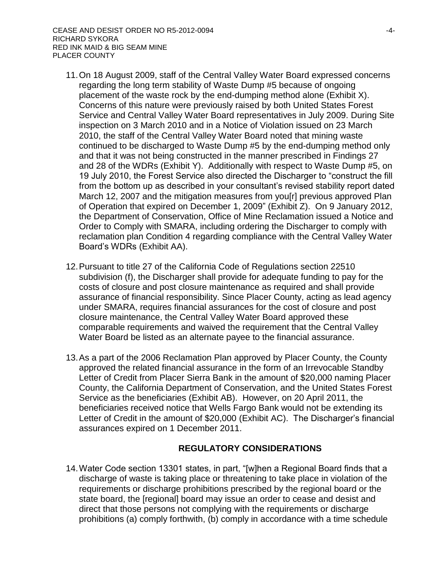- 11.On 18 August 2009, staff of the Central Valley Water Board expressed concerns regarding the long term stability of Waste Dump #5 because of ongoing placement of the waste rock by the end-dumping method alone (Exhibit X). Concerns of this nature were previously raised by both United States Forest Service and Central Valley Water Board representatives in July 2009. During Site inspection on 3 March 2010 and in a Notice of Violation issued on 23 March 2010, the staff of the Central Valley Water Board noted that mining waste continued to be discharged to Waste Dump #5 by the end-dumping method only and that it was not being constructed in the manner prescribed in Findings 27 and 28 of the WDRs (Exhibit Y). Additionally with respect to Waste Dump #5, on 19 July 2010, the Forest Service also directed the Discharger to "construct the fill from the bottom up as described in your consultant's revised stability report dated March 12, 2007 and the mitigation measures from you[r] previous approved Plan of Operation that expired on December 1, 2009" (Exhibit Z). On 9 January 2012, the Department of Conservation, Office of Mine Reclamation issued a Notice and Order to Comply with SMARA, including ordering the Discharger to comply with reclamation plan Condition 4 regarding compliance with the Central Valley Water Board's WDRs (Exhibit AA).
- 12.Pursuant to title 27 of the California Code of Regulations section 22510 subdivision (f), the Discharger shall provide for adequate funding to pay for the costs of closure and post closure maintenance as required and shall provide assurance of financial responsibility. Since Placer County, acting as lead agency under SMARA, requires financial assurances for the cost of closure and post closure maintenance, the Central Valley Water Board approved these comparable requirements and waived the requirement that the Central Valley Water Board be listed as an alternate payee to the financial assurance.
- 13.As a part of the 2006 Reclamation Plan approved by Placer County, the County approved the related financial assurance in the form of an Irrevocable Standby Letter of Credit from Placer Sierra Bank in the amount of \$20,000 naming Placer County, the California Department of Conservation, and the United States Forest Service as the beneficiaries (Exhibit AB). However, on 20 April 2011, the beneficiaries received notice that Wells Fargo Bank would not be extending its Letter of Credit in the amount of \$20,000 (Exhibit AC). The Discharger's financial assurances expired on 1 December 2011.

# **REGULATORY CONSIDERATIONS**

14.Water Code section 13301 states, in part, "[w]hen a Regional Board finds that a discharge of waste is taking place or threatening to take place in violation of the requirements or discharge prohibitions prescribed by the regional board or the state board, the [regional] board may issue an order to cease and desist and direct that those persons not complying with the requirements or discharge prohibitions (a) comply forthwith, (b) comply in accordance with a time schedule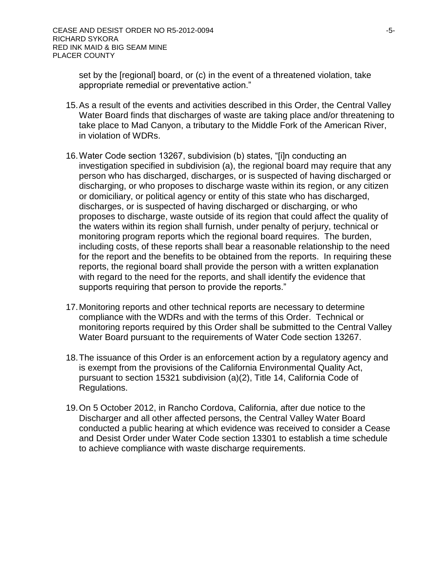set by the [regional] board, or (c) in the event of a threatened violation, take appropriate remedial or preventative action."

- 15.As a result of the events and activities described in this Order, the Central Valley Water Board finds that discharges of waste are taking place and/or threatening to take place to Mad Canyon, a tributary to the Middle Fork of the American River, in violation of WDRs.
- 16.Water Code section 13267, subdivision (b) states, "[i]n conducting an investigation specified in subdivision (a), the regional board may require that any person who has discharged, discharges, or is suspected of having discharged or discharging, or who proposes to discharge waste within its region, or any citizen or domiciliary, or political agency or entity of this state who has discharged, discharges, or is suspected of having discharged or discharging, or who proposes to discharge, waste outside of its region that could affect the quality of the waters within its region shall furnish, under penalty of perjury, technical or monitoring program reports which the regional board requires. The burden, including costs, of these reports shall bear a reasonable relationship to the need for the report and the benefits to be obtained from the reports. In requiring these reports, the regional board shall provide the person with a written explanation with regard to the need for the reports, and shall identify the evidence that supports requiring that person to provide the reports."
- 17.Monitoring reports and other technical reports are necessary to determine compliance with the WDRs and with the terms of this Order. Technical or monitoring reports required by this Order shall be submitted to the Central Valley Water Board pursuant to the requirements of Water Code section 13267.
- 18.The issuance of this Order is an enforcement action by a regulatory agency and is exempt from the provisions of the California Environmental Quality Act, pursuant to section 15321 subdivision (a)(2), Title 14, California Code of Regulations.
- 19.On 5 October 2012, in Rancho Cordova, California, after due notice to the Discharger and all other affected persons, the Central Valley Water Board conducted a public hearing at which evidence was received to consider a Cease and Desist Order under Water Code section 13301 to establish a time schedule to achieve compliance with waste discharge requirements.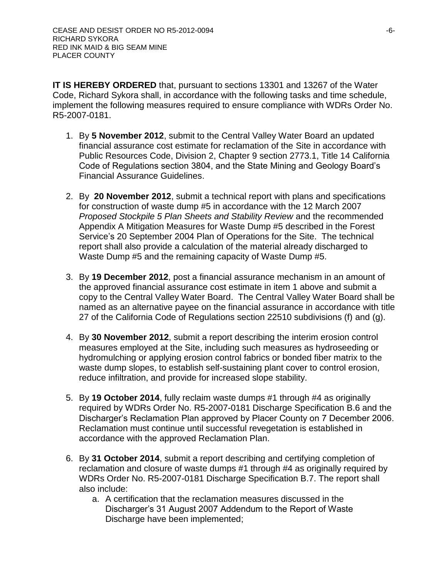**IT IS HEREBY ORDERED** that, pursuant to sections 13301 and 13267 of the Water Code, Richard Sykora shall, in accordance with the following tasks and time schedule, implement the following measures required to ensure compliance with WDRs Order No. R5-2007-0181.

- 1. By **5 November 2012**, submit to the Central Valley Water Board an updated financial assurance cost estimate for reclamation of the Site in accordance with Public Resources Code, Division 2, Chapter 9 section 2773.1, Title 14 California Code of Regulations section 3804, and the State Mining and Geology Board's Financial Assurance Guidelines.
- 2. By **20 November 2012**, submit a technical report with plans and specifications for construction of waste dump #5 in accordance with the 12 March 2007 *Proposed Stockpile 5 Plan Sheets and Stability Review* and the recommended Appendix A Mitigation Measures for Waste Dump #5 described in the Forest Service's 20 September 2004 Plan of Operations for the Site. The technical report shall also provide a calculation of the material already discharged to Waste Dump #5 and the remaining capacity of Waste Dump #5.
- 3. By **19 December 2012**, post a financial assurance mechanism in an amount of the approved financial assurance cost estimate in item 1 above and submit a copy to the Central Valley Water Board. The Central Valley Water Board shall be named as an alternative payee on the financial assurance in accordance with title 27 of the California Code of Regulations section 22510 subdivisions (f) and (g).
- 4. By **30 November 2012**, submit a report describing the interim erosion control measures employed at the Site, including such measures as hydroseeding or hydromulching or applying erosion control fabrics or bonded fiber matrix to the waste dump slopes, to establish self-sustaining plant cover to control erosion, reduce infiltration, and provide for increased slope stability.
- 5. By **19 October 2014**, fully reclaim waste dumps #1 through #4 as originally required by WDRs Order No. R5-2007-0181 Discharge Specification B.6 and the Discharger's Reclamation Plan approved by Placer County on 7 December 2006. Reclamation must continue until successful revegetation is established in accordance with the approved Reclamation Plan.
- 6. By **31 October 2014**, submit a report describing and certifying completion of reclamation and closure of waste dumps #1 through #4 as originally required by WDRs Order No. R5-2007-0181 Discharge Specification B.7. The report shall also include:
	- a. A certification that the reclamation measures discussed in the Discharger's 31 August 2007 Addendum to the Report of Waste Discharge have been implemented;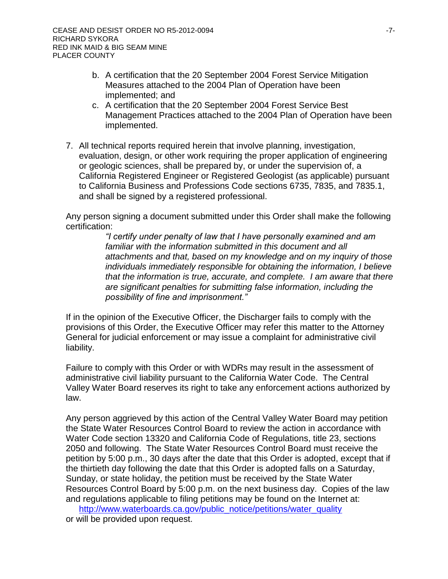- b. A certification that the 20 September 2004 Forest Service Mitigation Measures attached to the 2004 Plan of Operation have been implemented; and
- c. A certification that the 20 September 2004 Forest Service Best Management Practices attached to the 2004 Plan of Operation have been implemented.
- 7. All technical reports required herein that involve planning, investigation, evaluation, design, or other work requiring the proper application of engineering or geologic sciences, shall be prepared by, or under the supervision of, a California Registered Engineer or Registered Geologist (as applicable) pursuant to California Business and Professions Code sections 6735, 7835, and 7835.1, and shall be signed by a registered professional.

Any person signing a document submitted under this Order shall make the following certification:

> *"I certify under penalty of law that I have personally examined and am familiar with the information submitted in this document and all attachments and that, based on my knowledge and on my inquiry of those individuals immediately responsible for obtaining the information, I believe that the information is true, accurate, and complete. I am aware that there are significant penalties for submitting false information, including the possibility of fine and imprisonment."*

If in the opinion of the Executive Officer, the Discharger fails to comply with the provisions of this Order, the Executive Officer may refer this matter to the Attorney General for judicial enforcement or may issue a complaint for administrative civil liability.

Failure to comply with this Order or with WDRs may result in the assessment of administrative civil liability pursuant to the California Water Code. The Central Valley Water Board reserves its right to take any enforcement actions authorized by law.

Any person aggrieved by this action of the Central Valley Water Board may petition the State Water Resources Control Board to review the action in accordance with Water Code section 13320 and California Code of Regulations, title 23, sections 2050 and following. The State Water Resources Control Board must receive the petition by 5:00 p.m., 30 days after the date that this Order is adopted, except that if the thirtieth day following the date that this Order is adopted falls on a Saturday, Sunday, or state holiday, the petition must be received by the State Water Resources Control Board by 5:00 p.m. on the next business day. Copies of the law and regulations applicable to filing petitions may be found on the Internet at:

[http://www.waterboards.ca.gov/public\\_notice/petitions/water\\_quality](http://www.waterboards.ca.gov/public_notice/petitions/water_quality) or will be provided upon request.